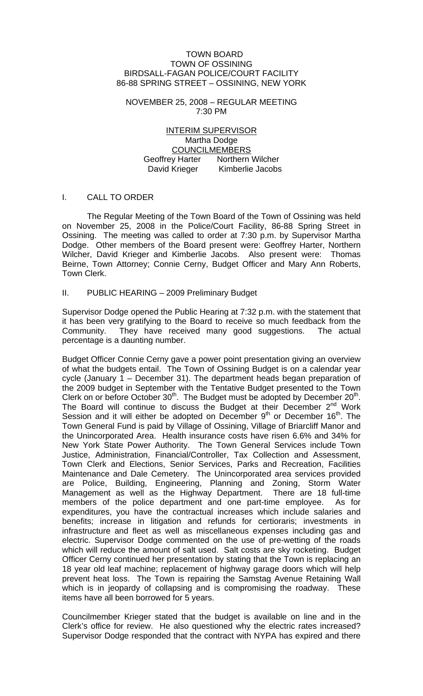#### TOWN BOARD TOWN OF OSSINING BIRDSALL-FAGAN POLICE/COURT FACILITY 86-88 SPRING STREET – OSSINING, NEW YORK

#### NOVEMBER 25, 2008 – REGULAR MEETING 7:30 PM

### INTERIM SUPERVISOR Martha Dodge COUNCILMEMBERS Geoffrey Harter Northern Wilcher David Krieger Kimberlie Jacobs

### I. CALL TO ORDER

 The Regular Meeting of the Town Board of the Town of Ossining was held on November 25, 2008 in the Police/Court Facility, 86-88 Spring Street in Ossining. The meeting was called to order at 7:30 p.m. by Supervisor Martha Dodge. Other members of the Board present were: Geoffrey Harter, Northern Wilcher, David Krieger and Kimberlie Jacobs. Also present were: Thomas Beirne, Town Attorney; Connie Cerny, Budget Officer and Mary Ann Roberts, Town Clerk.

#### II. PUBLIC HEARING – 2009 Preliminary Budget

Supervisor Dodge opened the Public Hearing at 7:32 p.m. with the statement that it has been very gratifying to the Board to receive so much feedback from the Community. They have received many good suggestions. The actual percentage is a daunting number.

Budget Officer Connie Cerny gave a power point presentation giving an overview of what the budgets entail. The Town of Ossining Budget is on a calendar year cycle (January 1 – December 31). The department heads began preparation of the 2009 budget in September with the Tentative Budget presented to the Town Clerk on or before October  $30<sup>th</sup>$ . The Budget must be adopted by December  $20<sup>th</sup>$ . The Board will continue to discuss the Budget at their December  $2^{nd}$  Work Session and it will either be adopted on December  $9<sup>th</sup>$  or December 16<sup>th</sup>. The Town General Fund is paid by Village of Ossining, Village of Briarcliff Manor and the Unincorporated Area. Health insurance costs have risen 6.6% and 34% for New York State Power Authority. The Town General Services include Town Justice, Administration, Financial/Controller, Tax Collection and Assessment, Town Clerk and Elections, Senior Services, Parks and Recreation, Facilities Maintenance and Dale Cemetery. The Unincorporated area services provided are Police, Building, Engineering, Planning and Zoning, Storm Water Management as well as the Highway Department. There are 18 full-time members of the police department and one part-time employee. As for expenditures, you have the contractual increases which include salaries and benefits; increase in litigation and refunds for certioraris; investments in infrastructure and fleet as well as miscellaneous expenses including gas and electric. Supervisor Dodge commented on the use of pre-wetting of the roads which will reduce the amount of salt used. Salt costs are sky rocketing. Budget Officer Cerny continued her presentation by stating that the Town is replacing an 18 year old leaf machine; replacement of highway garage doors which will help prevent heat loss. The Town is repairing the Samstag Avenue Retaining Wall which is in jeopardy of collapsing and is compromising the roadway. These items have all been borrowed for 5 years.

Councilmember Krieger stated that the budget is available on line and in the Clerk's office for review. He also questioned why the electric rates increased? Supervisor Dodge responded that the contract with NYPA has expired and there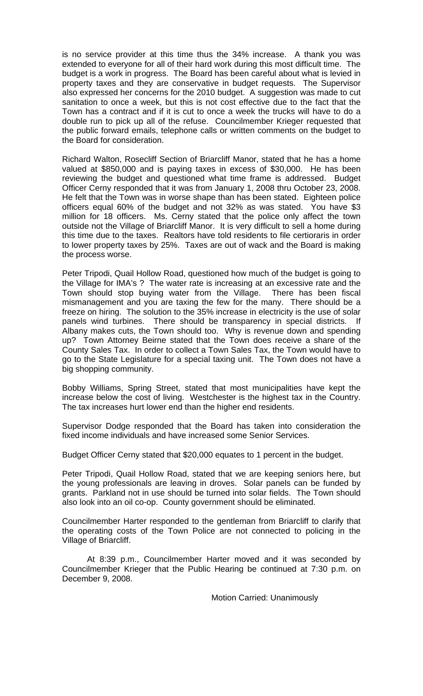is no service provider at this time thus the 34% increase. A thank you was extended to everyone for all of their hard work during this most difficult time. The budget is a work in progress. The Board has been careful about what is levied in property taxes and they are conservative in budget requests. The Supervisor also expressed her concerns for the 2010 budget. A suggestion was made to cut sanitation to once a week, but this is not cost effective due to the fact that the Town has a contract and if it is cut to once a week the trucks will have to do a double run to pick up all of the refuse. Councilmember Krieger requested that the public forward emails, telephone calls or written comments on the budget to the Board for consideration.

Richard Walton, Rosecliff Section of Briarcliff Manor, stated that he has a home valued at \$850,000 and is paying taxes in excess of \$30,000. He has been reviewing the budget and questioned what time frame is addressed. Budget Officer Cerny responded that it was from January 1, 2008 thru October 23, 2008. He felt that the Town was in worse shape than has been stated. Eighteen police officers equal 60% of the budget and not 32% as was stated. You have \$3 million for 18 officers. Ms. Cerny stated that the police only affect the town outside not the Village of Briarcliff Manor. It is very difficult to sell a home during this time due to the taxes. Realtors have told residents to file certioraris in order to lower property taxes by 25%. Taxes are out of wack and the Board is making the process worse.

Peter Tripodi, Quail Hollow Road, questioned how much of the budget is going to the Village for IMA's ? The water rate is increasing at an excessive rate and the Town should stop buying water from the Village. There has been fiscal mismanagement and you are taxing the few for the many. There should be a freeze on hiring. The solution to the 35% increase in electricity is the use of solar panels wind turbines. There should be transparency in special districts. If Albany makes cuts, the Town should too. Why is revenue down and spending up? Town Attorney Beirne stated that the Town does receive a share of the County Sales Tax. In order to collect a Town Sales Tax, the Town would have to go to the State Legislature for a special taxing unit. The Town does not have a big shopping community.

Bobby Williams, Spring Street, stated that most municipalities have kept the increase below the cost of living. Westchester is the highest tax in the Country. The tax increases hurt lower end than the higher end residents.

Supervisor Dodge responded that the Board has taken into consideration the fixed income individuals and have increased some Senior Services.

Budget Officer Cerny stated that \$20,000 equates to 1 percent in the budget.

Peter Tripodi, Quail Hollow Road, stated that we are keeping seniors here, but the young professionals are leaving in droves. Solar panels can be funded by grants. Parkland not in use should be turned into solar fields. The Town should also look into an oil co-op. County government should be eliminated.

Councilmember Harter responded to the gentleman from Briarcliff to clarify that the operating costs of the Town Police are not connected to policing in the Village of Briarcliff.

 At 8:39 p.m., Councilmember Harter moved and it was seconded by Councilmember Krieger that the Public Hearing be continued at 7:30 p.m. on December 9, 2008.

Motion Carried: Unanimously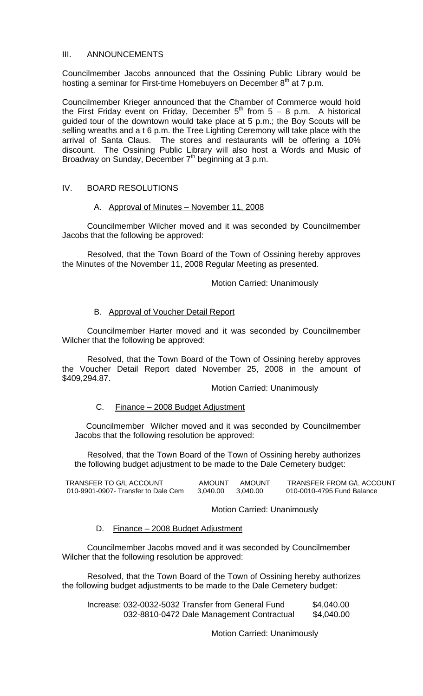### III. ANNOUNCEMENTS

Councilmember Jacobs announced that the Ossining Public Library would be hosting a seminar for First-time Homebuyers on December  $8<sup>th</sup>$  at 7 p.m.

Councilmember Krieger announced that the Chamber of Commerce would hold the First Friday event on Friday, December  $5<sup>th</sup>$  from  $5 - 8$  p.m. A historical guided tour of the downtown would take place at 5 p.m.; the Boy Scouts will be selling wreaths and a t 6 p.m. the Tree Lighting Ceremony will take place with the arrival of Santa Claus. The stores and restaurants will be offering a 10% discount. The Ossining Public Library will also host a Words and Music of Broadway on Sunday, December 7<sup>th</sup> beginning at 3 p.m.

### IV. BOARD RESOLUTIONS

### A. Approval of Minutes – November 11, 2008

 Councilmember Wilcher moved and it was seconded by Councilmember Jacobs that the following be approved:

 Resolved, that the Town Board of the Town of Ossining hereby approves the Minutes of the November 11, 2008 Regular Meeting as presented.

Motion Carried: Unanimously

### B. Approval of Voucher Detail Report

 Councilmember Harter moved and it was seconded by Councilmember Wilcher that the following be approved:

 Resolved, that the Town Board of the Town of Ossining hereby approves the Voucher Detail Report dated November 25, 2008 in the amount of \$409,294.87.

Motion Carried: Unanimously

### C. Finance – 2008 Budget Adjustment

 Councilmember Wilcher moved and it was seconded by Councilmember Jacobs that the following resolution be approved:

Resolved, that the Town Board of the Town of Ossining hereby authorizes the following budget adjustment to be made to the Dale Cemetery budget:

| TRANSFER TO G/L ACCOUNT             | AMOUNT   | <b>AMOUNT</b> | TRANSFER FROM G/L ACCOUNT  |
|-------------------------------------|----------|---------------|----------------------------|
| 010-9901-0907- Transfer to Dale Cem | 3.040.00 | 3.040.00      | 010-0010-4795 Fund Balance |

Motion Carried: Unanimously

#### D. Finance – 2008 Budget Adjustment

Councilmember Jacobs moved and it was seconded by Councilmember Wilcher that the following resolution be approved:

Resolved, that the Town Board of the Town of Ossining hereby authorizes the following budget adjustments to be made to the Dale Cemetery budget:

| Increase: 032-0032-5032 Transfer from General Fund | \$4,040.00 |
|----------------------------------------------------|------------|
| 032-8810-0472 Dale Management Contractual          | \$4,040.00 |

Motion Carried: Unanimously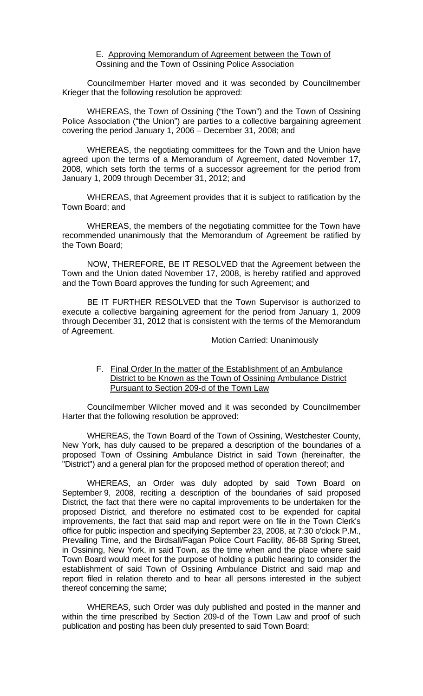#### E. Approving Memorandum of Agreement between the Town of Ossining and the Town of Ossining Police Association

 Councilmember Harter moved and it was seconded by Councilmember Krieger that the following resolution be approved:

WHEREAS, the Town of Ossining ("the Town") and the Town of Ossining Police Association ("the Union") are parties to a collective bargaining agreement covering the period January 1, 2006 – December 31, 2008; and

 WHEREAS, the negotiating committees for the Town and the Union have agreed upon the terms of a Memorandum of Agreement, dated November 17, 2008, which sets forth the terms of a successor agreement for the period from January 1, 2009 through December 31, 2012; and

 WHEREAS, that Agreement provides that it is subject to ratification by the Town Board; and

 WHEREAS, the members of the negotiating committee for the Town have recommended unanimously that the Memorandum of Agreement be ratified by the Town Board;

 NOW, THEREFORE, BE IT RESOLVED that the Agreement between the Town and the Union dated November 17, 2008, is hereby ratified and approved and the Town Board approves the funding for such Agreement; and

 BE IT FURTHER RESOLVED that the Town Supervisor is authorized to execute a collective bargaining agreement for the period from January 1, 2009 through December 31, 2012 that is consistent with the terms of the Memorandum of Agreement.

Motion Carried: Unanimously

#### F. Final Order In the matter of the Establishment of an Ambulance District to be Known as the Town of Ossining Ambulance District Pursuant to Section 209-d of the Town Law

 Councilmember Wilcher moved and it was seconded by Councilmember Harter that the following resolution be approved:

WHEREAS, the Town Board of the Town of Ossining, Westchester County, New York, has duly caused to be prepared a description of the boundaries of a proposed Town of Ossining Ambulance District in said Town (hereinafter, the "District") and a general plan for the proposed method of operation thereof; and

WHEREAS, an Order was duly adopted by said Town Board on September 9, 2008, reciting a description of the boundaries of said proposed District, the fact that there were no capital improvements to be undertaken for the proposed District, and therefore no estimated cost to be expended for capital improvements, the fact that said map and report were on file in the Town Clerk's office for public inspection and specifying September 23, 2008, at 7:30 o'clock P.M., Prevailing Time, and the Birdsall/Fagan Police Court Facility, 86-88 Spring Street, in Ossining, New York, in said Town, as the time when and the place where said Town Board would meet for the purpose of holding a public hearing to consider the establishment of said Town of Ossining Ambulance District and said map and report filed in relation thereto and to hear all persons interested in the subject thereof concerning the same;

WHEREAS, such Order was duly published and posted in the manner and within the time prescribed by Section 209-d of the Town Law and proof of such publication and posting has been duly presented to said Town Board;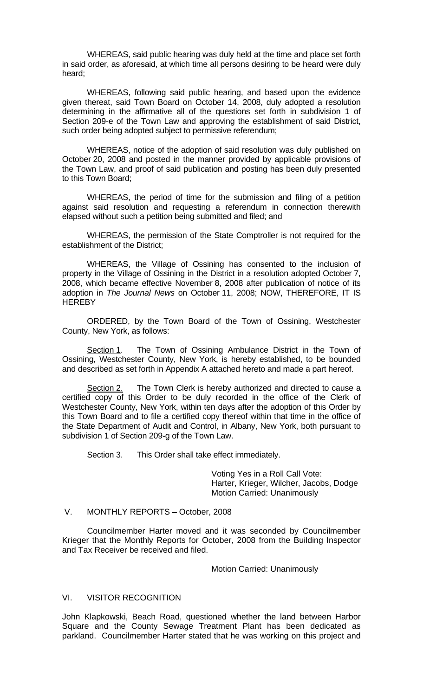WHEREAS, said public hearing was duly held at the time and place set forth in said order, as aforesaid, at which time all persons desiring to be heard were duly heard;

WHEREAS, following said public hearing, and based upon the evidence given thereat, said Town Board on October 14, 2008, duly adopted a resolution determining in the affirmative all of the questions set forth in subdivision 1 of Section 209-e of the Town Law and approving the establishment of said District, such order being adopted subject to permissive referendum;

WHEREAS, notice of the adoption of said resolution was duly published on October 20, 2008 and posted in the manner provided by applicable provisions of the Town Law, and proof of said publication and posting has been duly presented to this Town Board;

WHEREAS, the period of time for the submission and filing of a petition against said resolution and requesting a referendum in connection therewith elapsed without such a petition being submitted and filed; and

WHEREAS, the permission of the State Comptroller is not required for the establishment of the District;

WHEREAS, the Village of Ossining has consented to the inclusion of property in the Village of Ossining in the District in a resolution adopted October 7, 2008, which became effective November 8, 2008 after publication of notice of its adoption in *The Journal News* on October 11, 2008; NOW, THEREFORE, IT IS **HEREBY** 

ORDERED, by the Town Board of the Town of Ossining, Westchester County, New York, as follows:

Section 1. The Town of Ossining Ambulance District in the Town of Ossining, Westchester County, New York, is hereby established, to be bounded and described as set forth in Appendix A attached hereto and made a part hereof.

Section 2. The Town Clerk is hereby authorized and directed to cause a certified copy of this Order to be duly recorded in the office of the Clerk of Westchester County, New York, within ten days after the adoption of this Order by this Town Board and to file a certified copy thereof within that time in the office of the State Department of Audit and Control, in Albany, New York, both pursuant to subdivision 1 of Section 209-g of the Town Law.

Section 3. This Order shall take effect immediately.

 Voting Yes in a Roll Call Vote: Harter, Krieger, Wilcher, Jacobs, Dodge Motion Carried: Unanimously

#### V. MONTHLY REPORTS – October, 2008

 Councilmember Harter moved and it was seconded by Councilmember Krieger that the Monthly Reports for October, 2008 from the Building Inspector and Tax Receiver be received and filed.

Motion Carried: Unanimously

# VI. VISITOR RECOGNITION

John Klapkowski, Beach Road, questioned whether the land between Harbor Square and the County Sewage Treatment Plant has been dedicated as parkland. Councilmember Harter stated that he was working on this project and